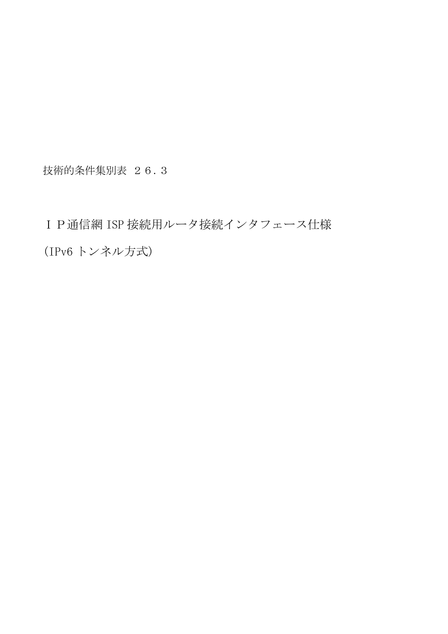技術的条件集別表 26.3

IP通信網 ISP 接続用ルータ接続インタフェース仕様 (IPv6 トンネル方式)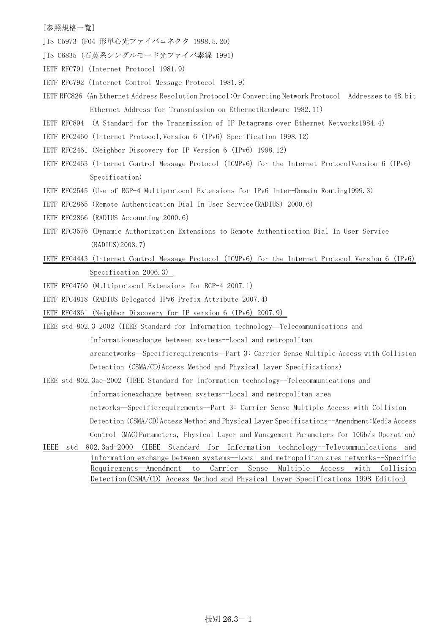## [参照規格一覧]

- JIS C5973 (F04 形単心光ファイバコネクタ 1998.5.20)
- JIS C6835 (石英系シングルモード光ファイバ素線 1991)
- IETF RFC791(Internet Protocol 1981.9)
- IETF RFC792(Internet Control Message Protocol 1981.9)
- IETF RFC826(An Ethernet Address Resolution Protocol:Or Converting Network Protocol Addresses to 48.bit Ethernet Address for Transmission on EthernetHardware 1982.11)
- IETF RFC894 (A Standard for the Transmission of IP Datagrams over Ethernet Networks1984.4)
- IETF RFC2460 (Internet Protocol,Version 6 (IPv6) Specification 1998.12)
- IETF RFC2461(Neighbor Discovery for IP Version 6 (IPv6) 1998.12)
- IETF RFC2463 (Internet Control Message Protocol (ICMPv6) for the Internet ProtocolVersion 6 (IPv6) Specification)
- IETF RFC2545 (Use of BGP-4 Multiprotocol Extensions for IPv6 Inter-Domain Routing1999.3)
- IETF RFC2865(Remote Authentication Dial In User Service(RADIUS) 2000.6)
- IETF RFC2866(RADIUS Accounting 2000.6)
- IETF RFC3576 (Dynamic Authorization Extensions to Remote Authentication Dial In User Service (RADIUS)2003.7)
- IETF RFC4443 (Internet Control Message Protocol (ICMPv6) for the Internet Protocol Version 6 (IPv6) Specification 2006.3)
- IETF RFC4760 (Multiprotocol Extensions for BGP-4 2007.1)
- IETF RFC4818 (RADIUS Delegated-IPv6-Prefix Attribute 2007.4)
- IETF RFC4861 (Neighbor Discovery for IP version 6 (IPv6) 2007.9)
- IEEE std 802.3-2002 (IEEE Standard for Information technology—Telecommunications and
	- informationexchange between systems--Local and metropolitan
	- areanetworks--Specificrequirements--Part 3: Carrier Sense Multiple Access with Collision
	- Detection (CSMA/CD)Access Method and Physical Layer Specifications)
- IEEE std 802.3ae-2002 (IEEE Standard for Information technology--Telecommunications and

informationexchange between systems--Local and metropolitan area

networks--Specificrequirements--Part 3: Carrier Sense Multiple Access with Collision Detection (CSMA/CD)Access Method and Physical Layer Specifications--Amendment:Media Access

Control (MAC)Parameters, Physical Layer and Management Parameters for 10Gb/s Operation)

IEEE std 802.3ad-2000 (IEEE Standard for Information technology--Telecommunications and information exchange between systems--Local and metropolitan area networks--Specific Requirements--Amendment to Carrier Sense Multiple Access with Collision Detection(CSMA/CD) Access Method and Physical Layer Specifications 1998 Edition)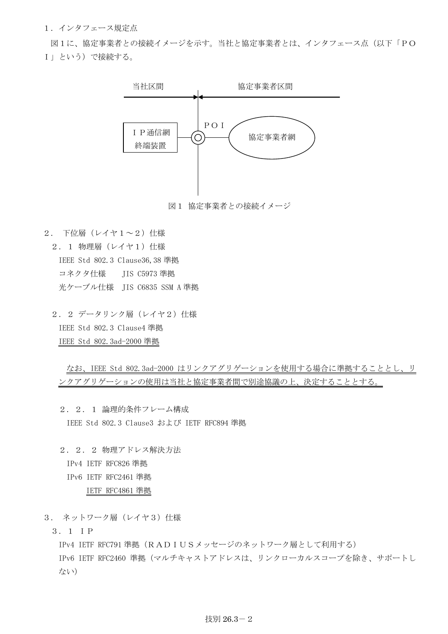1.インタフェース規定点

図1に、協定事業者との接続イメージを示す。当社と協定事業者とは、インタフェース点(以下「PO I」という)で接続する。



- 2. 下位層(レイヤ1~2)仕様
	- 2. 1 物理層 (レイヤ1) 仕様 IEEE Std 802.3 Clause36,38 準拠 コネクタ仕様 JIS C5973 準拠 光ケーブル仕様 JIS C6835 SSM A 準拠
	- 2. 2 データリンク層 (レイヤ2) 仕様 IEEE Std 802.3 Clause4 準拠 IEEE Std 802.3ad-2000 準拠

なお、IEEE Std 802.3ad-2000 はリンクアグリゲーションを使用する場合に準拠することとし、リ ンクアグリゲーションの使用は当社と協定事業者間で別途協議の上、決定することとする。

- 2.2.1 論理的条件フレーム構成 IEEE Std 802.3 Clause3 および IETF RFC894 準拠
- 2.2.2 物理アドレス解決方法 IPv4 IETF RFC826 準拠 IPv6 IETF RFC2461 準拠 IETF RFC4861 準拠
- 3. ネットワーク層 (レイヤ3) 仕様
	- 3.1 IP

IPv4 IETF RFC791 準拠(RADIUSメッセージのネットワーク層として利用する) IPv6 IETF RFC2460 準拠(マルチキャストアドレスは、リンクローカルスコープを除き、サポートし ない)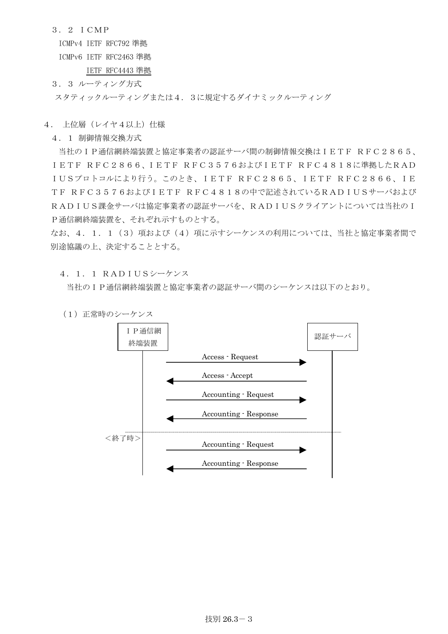3.2 ICMP

ICMPv4 IETF RFC792 準拠

ICMPv6 IETF RFC2463 準拠

IETF RFC4443 準拠

3.3 ルーティング方式

スタティックルーティングまたは4.3に規定するダイナミックルーティング

- 4. 上位層(レイヤ4以上)仕様
	- 4.1 制御情報交換方式

当社のIP通信網終端装置と協定事業者の認証サーバ間の制御情報交換はIETF RFC2865、 IETF RFC2866、IETF RFC3576およびIETF RFC4818に準拠したRAD IUSプロトコルにより行う。このとき、IETF RFC2865、IETF RFC2866、IE TF RFC3576およびIETF RFC4818の中で記述されているRADIUSサーバおよび RADIUS課金サーバは協定事業者の認証サーバを、RADIUSクライアントについては当社のI P通信網終端装置を、それぞれ示すものとする。

なお、4.1.1 (3) 項および(4) 項に示すシーケンスの利用については、当社と協定事業者間で 別途協議の上、決定することとする。

4.1.1 RADIUSシーケンス

当社のIP通信網終端装置と協定事業者の認証サーバ間のシーケンスは以下のとおり。

(1) 正常時のシーケンス

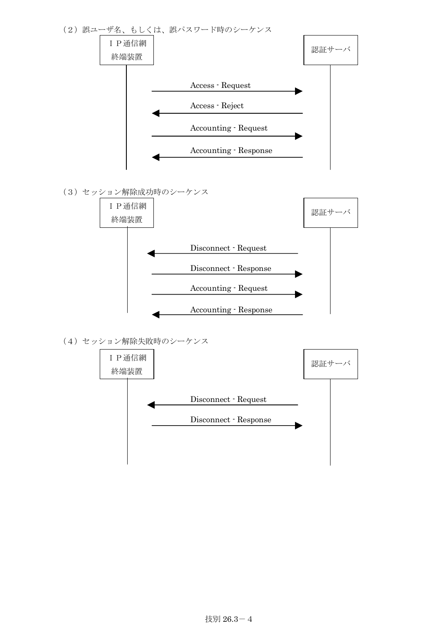

(4)セッション解除失敗時のシーケンス

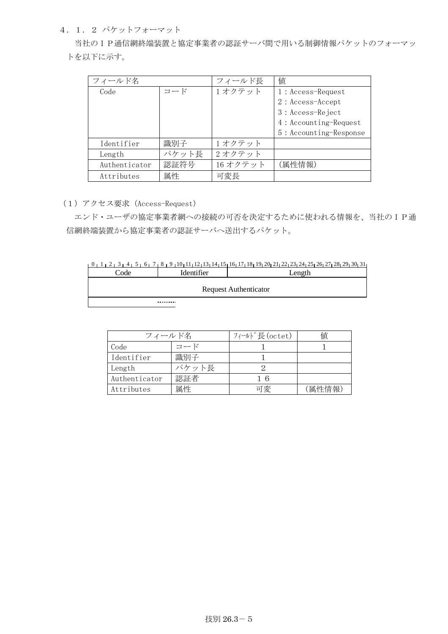4.1.2 パケットフォーマット

 当社のIP通信網終端装置と協定事業者の認証サーバ間で用いる制御情報パケットのフォーマッ トを以下に示す。

| フィールド名        |       | フィールド長  | 値                      |
|---------------|-------|---------|------------------------|
| Code          | コード   | 1オクテット  | $1: Access-Request$    |
|               |       |         | $2: Access - Accept$   |
|               |       |         | 3 : Access-Reject      |
|               |       |         | 4: Accounting-Request  |
|               |       |         | 5: Accounting-Response |
| Identifier    | 識別子   | 1オクテット  |                        |
| Length        | パケット長 | 2オクテット  |                        |
| Authenticator | 認証符号  | 16オクテット | (属性情報)                 |
| Attributes    | 属性    | 可変長     |                        |

(1)アクセス要求(Access-Request)

 エンド・ユーザの協定事業者網への接続の可否を決定するために使われる情報を、当社のIP通 信網終端装置から協定事業者の認証サーバへ送出するパケット。

|     |            | $0$ $1$ $1$ $2$ $1$ $3$ $1$ $4$ $1$ $5$ $1$ $6$ $1$ $7$ $1$ $8$ $1$ $9$ $1$ $10$ $11$ $11$ $12$ $13$ $14$ $15$ $16$ $17$ $18$ $19$ $20$ $21$ $22$ $23$ $24$ $25$ $26$ $27$ $28$ $29$ $30$ $31$ |
|-----|------------|------------------------------------------------------------------------------------------------------------------------------------------------------------------------------------------------|
| ode | ıdentifier | _ength                                                                                                                                                                                         |

| ruemmen | LUILLUI                      |  |  |  |  |  |  |
|---------|------------------------------|--|--|--|--|--|--|
|         |                              |  |  |  |  |  |  |
|         | <b>Request Authenticator</b> |  |  |  |  |  |  |

 $\cdots$ 

| フィールド名        |       | フィールド長(octet) | 値      |  |  |  |
|---------------|-------|---------------|--------|--|--|--|
| Code          | コード   |               |        |  |  |  |
| Identifier    | 識別子   |               |        |  |  |  |
| Length        | パケット長 |               |        |  |  |  |
| Authenticator | 認証者   | 16            |        |  |  |  |
| Attributes    | 属性    | 可変            | (属性情報) |  |  |  |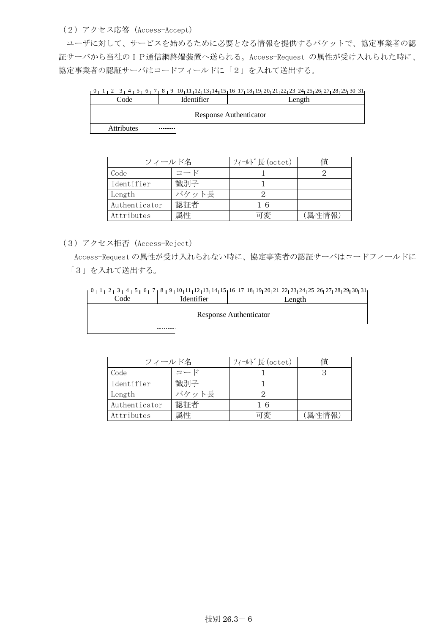(2)アクセス応答(Access-Accept)

ユーザに対して、サービスを始めるために必要となる情報を提供するパケットで、協定事業者の認 証サーバから当社のIP通信網終端装置へ送られる。Access-Request の属性が受け入れられた時に、 協定事業者の認証サーバはコードフィールドに「2」を入れて送出する。

0 1 2 3 4 5 6 7 8 9 10 11 12 13 14 15 16 17 19 18 22 20 21 23 25 24 29 26 27 28 30 31 Code Identifier I Length

Attributes . . . . . . . . .

| フィールド名        |       | フィールド長(octet) | 値      |  |  |  |  |
|---------------|-------|---------------|--------|--|--|--|--|
| Code          | コード   |               |        |  |  |  |  |
| Identifier    | 識別子   |               |        |  |  |  |  |
| Length        | パケット長 |               |        |  |  |  |  |
| Authenticator | 認証者   | 16            |        |  |  |  |  |
| Attributes    | 属性    | 可変            | (属性情報) |  |  |  |  |

(3)アクセス拒否(Access-Reject)

 Access-Request の属性が受け入れられない時に、協定事業者の認証サーバはコードフィールドに 「3」を入れて送出する。

|  |  |  |  |  |  | <sub>1</sub> 0 <sub>1</sub> 1 <sub>1</sub> 2 <sub>1</sub> 3 <sub>1</sub> 4 <sub>1</sub> 5 <sub>1</sub> 6 <sub>1</sub> 7 <sub>1</sub> 8 <sub>1</sub> 9 <sub>1</sub> 10 <sub>1</sub> 11 <sub>1</sub> 12 <sub>1</sub> 13 <sub>1</sub> 14 <sub>1</sub> 15 <sub>1</sub> 16 <sub>1</sub> 17 <sub>1</sub> 18 <sub>1</sub> 19 <sub>1</sub> 20 <sub>1</sub> 21 <sub>1</sub> 22 <sub>1</sub> 23 <sub>1</sub> 24 <sub>1</sub> 25 <sub>1</sub> 26 <sub>1</sub> 27 <sub>1</sub> 28 <sub>1</sub> 29 <sub>1</sub> 30 <sub>1</sub> 31 <sub>1</sub> |  |  |  |  |  |  |  |  |  |  |  |
|--|--|--|--|--|--|------------------------------------------------------------------------------------------------------------------------------------------------------------------------------------------------------------------------------------------------------------------------------------------------------------------------------------------------------------------------------------------------------------------------------------------------------------------------------------------------------------------------------------|--|--|--|--|--|--|--|--|--|--|--|
|  |  |  |  |  |  |                                                                                                                                                                                                                                                                                                                                                                                                                                                                                                                                    |  |  |  |  |  |  |  |  |  |  |  |

| Code | Identifier | Length                        |  |  |  |  |  |
|------|------------|-------------------------------|--|--|--|--|--|
|      |            | <b>Response Authenticator</b> |  |  |  |  |  |

. . . . . . . .

| フィールド名        |       | フィールド長(octet) | 値      |  |  |  |  |
|---------------|-------|---------------|--------|--|--|--|--|
| Code          | コード   |               |        |  |  |  |  |
| Identifier    | 識別子   |               |        |  |  |  |  |
| Length        | パケット長 |               |        |  |  |  |  |
| Authenticator | 認証者   | 16            |        |  |  |  |  |
| Attributes    | 属性    | 可変            | (属性情報) |  |  |  |  |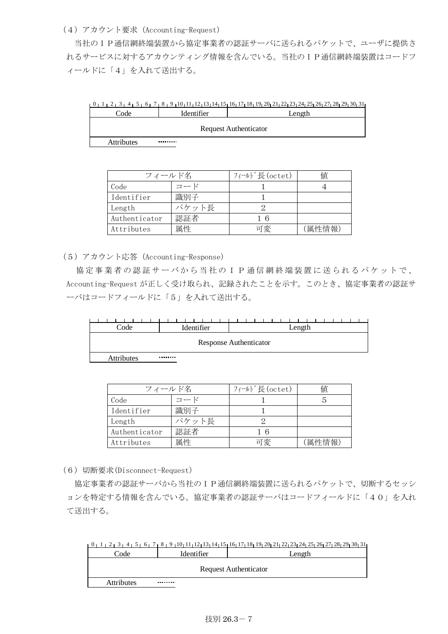## (4)アカウント要求(Accounting-Request)

 当社のIP通信網終端装置から協定事業者の認証サーバに送られるパケットで、ユーザに提供さ れるサービスに対するアカウンティング情報を含んでいる。当社のIP通信網終端装置はコードフ ィールドに「4」を入れて送出する。

|                   |                              | $1_1$ $2_1$ $3_1$ $4_1$ $5_1$ $6_1$ $7_1$ $8_1$ $9_1$ $10_1$ $11_1$ $12_1$ $13_1$ $14_1$ $15_1$ $16_1$ $17_1$ $18_1$ $19_1$ $20_1$ $21_1$ $22_1$ $23_1$ $24_1$ $25_1$ $26_1$ $27_1$ $28_1$ $29_1$ $30_1$ $31_1$ |  |  |  |  |  |  |  |  |
|-------------------|------------------------------|-----------------------------------------------------------------------------------------------------------------------------------------------------------------------------------------------------------------|--|--|--|--|--|--|--|--|
| Code              | Identifier                   | Length                                                                                                                                                                                                          |  |  |  |  |  |  |  |  |
|                   | <b>Request Authenticator</b> |                                                                                                                                                                                                                 |  |  |  |  |  |  |  |  |
| <b>Attributes</b> |                              |                                                                                                                                                                                                                 |  |  |  |  |  |  |  |  |

| フィールド名        |       | フィールド長(octet) | 値     |
|---------------|-------|---------------|-------|
| Code          | コード   |               |       |
| Identifier    | 識別子   |               |       |
| Length        | パケット長 |               |       |
| Authenticator | 認証者   | - 6           |       |
| Attributes    | 属性    | 可変            | 偏性情報) |

(5)アカウント応答(Accounting-Response)

協定事業者の認証サーバから当社のIP通信網終端装置に送られるパケットで、 Accounting-Request が正しく受け取られ、記録されたことを示す。このとき、協定事業者の認証サ ーバはコードフィールドに「5」を入れて送出する。

| Code                          | Identifier | Length |  |  |  |  |  |  |  |
|-------------------------------|------------|--------|--|--|--|--|--|--|--|
| <b>Response Authenticator</b> |            |        |  |  |  |  |  |  |  |
|                               | --------   |        |  |  |  |  |  |  |  |

Attributes

| フィールド名        |       | フィールド長(octet) | 値      |
|---------------|-------|---------------|--------|
| Code          | コード   |               |        |
| Identifier    | 識別子   |               |        |
| Length        | パケット長 |               |        |
| Authenticator | 認証者   | 16            |        |
| Attributes    | 属性    | 可変            | 〔属性情報〕 |

(6)切断要求(Disconnect-Request)

 協定事業者の認証サーバから当社のIP通信網終端装置に送られるパケットで、切断するセッシ ョンを特定する情報を含んでいる。協定事業者の認証サーバはコードフィールドに「40」を入れ て送出する。

|      |            | 8 9 29 30 31 22 35 26 27 28 29 20 21 22 22 23 24 35 36 37 28 14 15 16 17 28 17 28 29 20 21 22 23 24 25 |
|------|------------|--------------------------------------------------------------------------------------------------------|
| `ode | Identifier | _ength                                                                                                 |
|      |            |                                                                                                        |

| Coue              | ruemmer | <b>Lengui</b>                |
|-------------------|---------|------------------------------|
|                   |         | <b>Request Authenticator</b> |
|                   |         |                              |
| <b>Attributes</b> |         |                              |